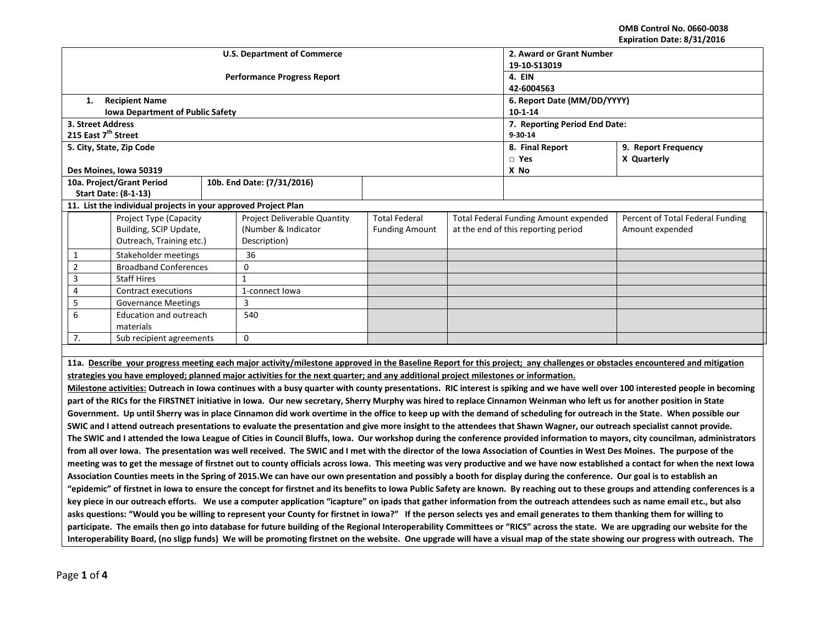**OMB Control No. 0660-0038 Expiration Date: 8/31/2016**

| EXPITATION DATE. 0/31/2010                                                                                                                                                                                                                                                                                                                        |                                                                                                                                                                                    |  |                                                                                                                                                                         |                          |            |                                              |                                                                                                                                                                                 |  |  |
|---------------------------------------------------------------------------------------------------------------------------------------------------------------------------------------------------------------------------------------------------------------------------------------------------------------------------------------------------|------------------------------------------------------------------------------------------------------------------------------------------------------------------------------------|--|-------------------------------------------------------------------------------------------------------------------------------------------------------------------------|--------------------------|------------|----------------------------------------------|---------------------------------------------------------------------------------------------------------------------------------------------------------------------------------|--|--|
|                                                                                                                                                                                                                                                                                                                                                   |                                                                                                                                                                                    |  | <b>U.S. Department of Commerce</b>                                                                                                                                      | 2. Award or Grant Number |            |                                              |                                                                                                                                                                                 |  |  |
|                                                                                                                                                                                                                                                                                                                                                   |                                                                                                                                                                                    |  |                                                                                                                                                                         | 19-10-S13019             |            |                                              |                                                                                                                                                                                 |  |  |
|                                                                                                                                                                                                                                                                                                                                                   |                                                                                                                                                                                    |  | <b>Performance Progress Report</b>                                                                                                                                      | 4. EIN                   |            |                                              |                                                                                                                                                                                 |  |  |
|                                                                                                                                                                                                                                                                                                                                                   |                                                                                                                                                                                    |  |                                                                                                                                                                         |                          | 42-6004563 |                                              |                                                                                                                                                                                 |  |  |
| 1.                                                                                                                                                                                                                                                                                                                                                | <b>Recipient Name</b>                                                                                                                                                              |  |                                                                                                                                                                         |                          |            | 6. Report Date (MM/DD/YYYY)                  |                                                                                                                                                                                 |  |  |
|                                                                                                                                                                                                                                                                                                                                                   | <b>Iowa Department of Public Safety</b>                                                                                                                                            |  |                                                                                                                                                                         |                          |            | $10 - 1 - 14$                                |                                                                                                                                                                                 |  |  |
| 3. Street Address                                                                                                                                                                                                                                                                                                                                 |                                                                                                                                                                                    |  |                                                                                                                                                                         |                          |            | 7. Reporting Period End Date:                |                                                                                                                                                                                 |  |  |
| 215 East 7 <sup>th</sup> Street                                                                                                                                                                                                                                                                                                                   |                                                                                                                                                                                    |  |                                                                                                                                                                         |                          |            | 9-30-14                                      |                                                                                                                                                                                 |  |  |
|                                                                                                                                                                                                                                                                                                                                                   | 5. City, State, Zip Code                                                                                                                                                           |  |                                                                                                                                                                         |                          |            | 8. Final Report                              | 9. Report Frequency                                                                                                                                                             |  |  |
|                                                                                                                                                                                                                                                                                                                                                   |                                                                                                                                                                                    |  |                                                                                                                                                                         |                          |            | $\Box$ Yes                                   | X Quarterly                                                                                                                                                                     |  |  |
|                                                                                                                                                                                                                                                                                                                                                   | Des Moines, Iowa 50319                                                                                                                                                             |  |                                                                                                                                                                         |                          |            | X No                                         |                                                                                                                                                                                 |  |  |
|                                                                                                                                                                                                                                                                                                                                                   | 10a. Project/Grant Period                                                                                                                                                          |  | 10b. End Date: (7/31/2016)                                                                                                                                              |                          |            |                                              |                                                                                                                                                                                 |  |  |
|                                                                                                                                                                                                                                                                                                                                                   | <b>Start Date: (8-1-13)</b>                                                                                                                                                        |  |                                                                                                                                                                         |                          |            |                                              |                                                                                                                                                                                 |  |  |
|                                                                                                                                                                                                                                                                                                                                                   | 11. List the individual projects in your approved Project Plan                                                                                                                     |  |                                                                                                                                                                         |                          |            |                                              |                                                                                                                                                                                 |  |  |
|                                                                                                                                                                                                                                                                                                                                                   | <b>Project Type (Capacity</b>                                                                                                                                                      |  | Project Deliverable Quantity                                                                                                                                            | <b>Total Federal</b>     |            | <b>Total Federal Funding Amount expended</b> | Percent of Total Federal Funding                                                                                                                                                |  |  |
|                                                                                                                                                                                                                                                                                                                                                   | Building, SCIP Update,                                                                                                                                                             |  | (Number & Indicator                                                                                                                                                     | <b>Funding Amount</b>    |            | at the end of this reporting period          | Amount expended                                                                                                                                                                 |  |  |
|                                                                                                                                                                                                                                                                                                                                                   | Outreach, Training etc.)                                                                                                                                                           |  | Description)                                                                                                                                                            |                          |            |                                              |                                                                                                                                                                                 |  |  |
| 1                                                                                                                                                                                                                                                                                                                                                 | Stakeholder meetings                                                                                                                                                               |  | 36                                                                                                                                                                      |                          |            |                                              |                                                                                                                                                                                 |  |  |
| $\overline{2}$                                                                                                                                                                                                                                                                                                                                    | <b>Broadband Conferences</b>                                                                                                                                                       |  | $\mathbf 0$                                                                                                                                                             |                          |            |                                              |                                                                                                                                                                                 |  |  |
| 3                                                                                                                                                                                                                                                                                                                                                 | <b>Staff Hires</b>                                                                                                                                                                 |  | $\mathbf{1}$                                                                                                                                                            |                          |            |                                              |                                                                                                                                                                                 |  |  |
| 4                                                                                                                                                                                                                                                                                                                                                 | Contract executions                                                                                                                                                                |  | 1-connect lowa                                                                                                                                                          |                          |            |                                              |                                                                                                                                                                                 |  |  |
| 5                                                                                                                                                                                                                                                                                                                                                 | <b>Governance Meetings</b>                                                                                                                                                         |  | 3                                                                                                                                                                       |                          |            |                                              |                                                                                                                                                                                 |  |  |
| 6                                                                                                                                                                                                                                                                                                                                                 | Education and outreach                                                                                                                                                             |  | 540                                                                                                                                                                     |                          |            |                                              |                                                                                                                                                                                 |  |  |
|                                                                                                                                                                                                                                                                                                                                                   | materials                                                                                                                                                                          |  |                                                                                                                                                                         |                          |            |                                              |                                                                                                                                                                                 |  |  |
| 7.                                                                                                                                                                                                                                                                                                                                                | Sub recipient agreements                                                                                                                                                           |  | $\mathbf 0$                                                                                                                                                             |                          |            |                                              |                                                                                                                                                                                 |  |  |
|                                                                                                                                                                                                                                                                                                                                                   |                                                                                                                                                                                    |  |                                                                                                                                                                         |                          |            |                                              |                                                                                                                                                                                 |  |  |
|                                                                                                                                                                                                                                                                                                                                                   |                                                                                                                                                                                    |  |                                                                                                                                                                         |                          |            |                                              | 11a. Describe your progress meeting each major activity/milestone approved in the Baseline Report for this project; any challenges or obstacles encountered and mitigation      |  |  |
| strategies you have employed; planned major activities for the next quarter; and any additional project milestones or information.                                                                                                                                                                                                                |                                                                                                                                                                                    |  |                                                                                                                                                                         |                          |            |                                              |                                                                                                                                                                                 |  |  |
|                                                                                                                                                                                                                                                                                                                                                   |                                                                                                                                                                                    |  |                                                                                                                                                                         |                          |            |                                              | Milestone activities: Outreach in Iowa continues with a busy quarter with county presentations. RIC interest is spiking and we have well over 100 interested people in becoming |  |  |
|                                                                                                                                                                                                                                                                                                                                                   |                                                                                                                                                                                    |  |                                                                                                                                                                         |                          |            |                                              |                                                                                                                                                                                 |  |  |
| part of the RICs for the FIRSTNET initiative in Iowa. Our new secretary, Sherry Murphy was hired to replace Cinnamon Weinman who left us for another position in State<br>Government. Up until Sherry was in place Cinnamon did work overtime in the office to keep up with the demand of scheduling for outreach in the State. When possible our |                                                                                                                                                                                    |  |                                                                                                                                                                         |                          |            |                                              |                                                                                                                                                                                 |  |  |
|                                                                                                                                                                                                                                                                                                                                                   |                                                                                                                                                                                    |  | SWIC and I attend outreach presentations to evaluate the presentation and give more insight to the attendees that Shawn Wagner, our outreach specialist cannot provide. |                          |            |                                              |                                                                                                                                                                                 |  |  |
|                                                                                                                                                                                                                                                                                                                                                   |                                                                                                                                                                                    |  |                                                                                                                                                                         |                          |            |                                              |                                                                                                                                                                                 |  |  |
| The SWIC and I attended the Iowa League of Cities in Council Bluffs, Iowa. Our workshop during the conference provided information to mayors, city councilman, administrators                                                                                                                                                                     |                                                                                                                                                                                    |  |                                                                                                                                                                         |                          |            |                                              |                                                                                                                                                                                 |  |  |
| from all over Iowa. The presentation was well received. The SWIC and I met with the director of the Iowa Association of Counties in West Des Moines. The purpose of the                                                                                                                                                                           |                                                                                                                                                                                    |  |                                                                                                                                                                         |                          |            |                                              |                                                                                                                                                                                 |  |  |
| meeting was to get the message of firstnet out to county officials across lowa. This meeting was very productive and we have now established a contact for when the next lowa                                                                                                                                                                     |                                                                                                                                                                                    |  |                                                                                                                                                                         |                          |            |                                              |                                                                                                                                                                                 |  |  |
| Association Counties meets in the Spring of 2015. We can have our own presentation and possibly a booth for display during the conference. Our goal is to establish an                                                                                                                                                                            |                                                                                                                                                                                    |  |                                                                                                                                                                         |                          |            |                                              |                                                                                                                                                                                 |  |  |
|                                                                                                                                                                                                                                                                                                                                                   | "epidemic" of firstnet in Iowa to ensure the concept for firstnet and its benefits to Iowa Public Safety are known. By reaching out to these groups and attending conferences is a |  |                                                                                                                                                                         |                          |            |                                              |                                                                                                                                                                                 |  |  |
| key piece in our outreach efforts. We use a computer application "icapture" on ipads that gather information from the outreach attendees such as name email etc., but also                                                                                                                                                                        |                                                                                                                                                                                    |  |                                                                                                                                                                         |                          |            |                                              |                                                                                                                                                                                 |  |  |
| asks questions: "Would you be willing to represent your County for firstnet in Iowa?" If the person selects yes and email generates to them thanking them for willing to                                                                                                                                                                          |                                                                                                                                                                                    |  |                                                                                                                                                                         |                          |            |                                              |                                                                                                                                                                                 |  |  |
|                                                                                                                                                                                                                                                                                                                                                   | participate. The emails then go into database for future building of the Regional Interoperability Committees or "RICS" across the state. We are upgrading our website for the     |  |                                                                                                                                                                         |                          |            |                                              |                                                                                                                                                                                 |  |  |
|                                                                                                                                                                                                                                                                                                                                                   | Interoperability Board, (no sligp funds) We will be promoting firstnet on the website. One upgrade will have a visual map of the state showing our progress with outreach. The     |  |                                                                                                                                                                         |                          |            |                                              |                                                                                                                                                                                 |  |  |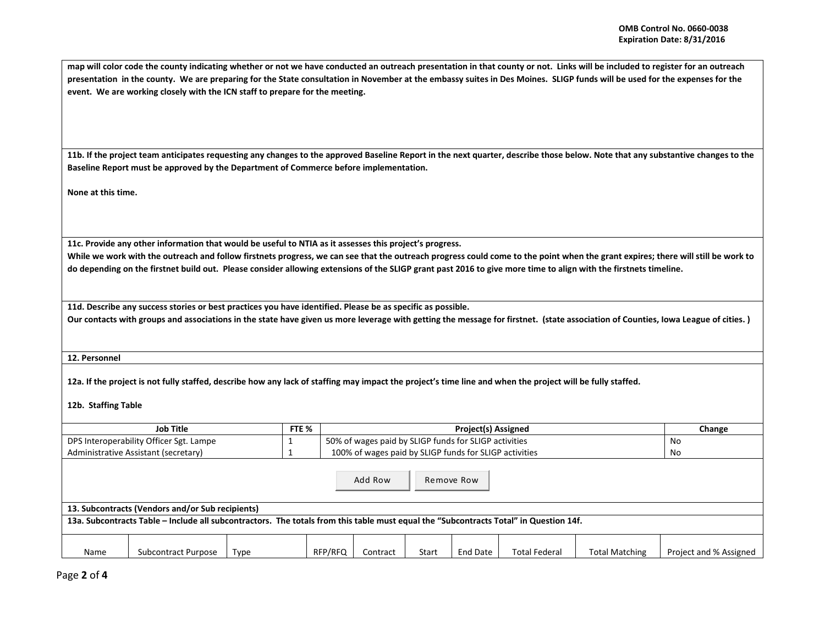**map will color code the county indicating whether or not we have conducted an outreach presentation in that county or not. Links will be included to register for an outreach presentation in the county. We are preparing for the State consultation in November at the embassy suites in Des Moines. SLIGP funds will be used for the expenses for the event. We are working closely with the ICN staff to prepare for the meeting.** 

**11b. If the project team anticipates requesting any changes to the approved Baseline Report in the next quarter, describe those below. Note that any substantive changes to the Baseline Report must be approved by the Department of Commerce before implementation.** 

**None at this time.**

**11c. Provide any other information that would be useful to NTIA as it assesses this project's progress.** 

**While we work with the outreach and follow firstnets progress, we can see that the outreach progress could come to the point when the grant expires; there will still be work to do depending on the firstnet build out. Please consider allowing extensions of the SLIGP grant past 2016 to give more time to align with the firstnets timeline.** 

**11d. Describe any success stories or best practices you have identified. Please be as specific as possible.**

**Our contacts with groups and associations in the state have given us more leverage with getting the message for firstnet. (state association of Counties, Iowa League of cities. )**

**12. Personnel** 

**12a. If the project is not fully staffed, describe how any lack of staffing may impact the project's time line and when the project will be fully staffed.**

**12b. Staffing Table**

| Job Title                                                                 |                                                                                                                                       |      | FTE %   | Project(s) Assigned                                    |       |          |                      |                | Change                 |
|---------------------------------------------------------------------------|---------------------------------------------------------------------------------------------------------------------------------------|------|---------|--------------------------------------------------------|-------|----------|----------------------|----------------|------------------------|
| DPS Interoperability Officer Sgt. Lampe                                   |                                                                                                                                       |      |         | 50% of wages paid by SLIGP funds for SLIGP activities  | No    |          |                      |                |                        |
| Administrative Assistant (secretary)                                      |                                                                                                                                       |      |         | 100% of wages paid by SLIGP funds for SLIGP activities |       |          |                      |                | No                     |
| Add Row<br>Remove Row<br>13. Subcontracts (Vendors and/or Sub recipients) |                                                                                                                                       |      |         |                                                        |       |          |                      |                |                        |
|                                                                           | 13a. Subcontracts Table – Include all subcontractors. The totals from this table must equal the "Subcontracts Total" in Question 14f. |      |         |                                                        |       |          |                      |                |                        |
| Name                                                                      | Subcontract Purpose                                                                                                                   | Type | RFP/RFQ | Contract                                               | Start | End Date | <b>Total Federal</b> | Total Matching | Project and % Assigned |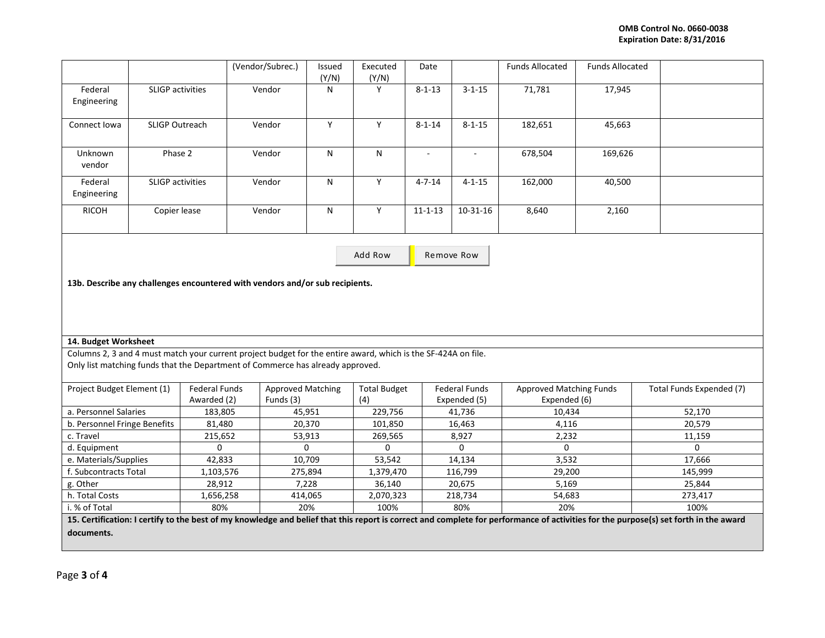|                        |                         | (Vendor/Subrec.) | <b>Issued</b><br>(Y/N) | Executed<br>(Y/N) | Date          |              | <b>Funds Allocated</b> | <b>Funds Allocated</b> |  |
|------------------------|-------------------------|------------------|------------------------|-------------------|---------------|--------------|------------------------|------------------------|--|
| Federal<br>Engineering | <b>SLIGP</b> activities | Vendor           | N                      | $\checkmark$      | $8 - 1 - 13$  | $3 - 1 - 15$ | 71,781                 | 17,945                 |  |
| Connect Iowa           | <b>SLIGP Outreach</b>   | Vendor           | ν                      |                   | $8 - 1 - 14$  | $8 - 1 - 15$ | 182,651                | 45,663                 |  |
| Unknown<br>vendor      | Phase 2                 | Vendor           | N                      | N                 |               | ٠            | 678,504                | 169,626                |  |
| Federal<br>Engineering | <b>SLIGP</b> activities | Vendor           | N                      | v                 | $4 - 7 - 14$  | $4 - 1 - 15$ | 162,000                | 40,500                 |  |
| <b>RICOH</b>           | Copier lease            | Vendor           | N                      | γ                 | $11 - 1 - 13$ | $10-31-16$   | 8,640                  | 2,160                  |  |

Add Row **Remove Row** 

**13b. Describe any challenges encountered with vendors and/or sub recipients.** 

## **14. Budget Worksheet**

Columns 2, 3 and 4 must match your current project budget for the entire award, which is the SF-424A on file. Only list matching funds that the Department of Commerce has already approved.

| Project Budget Element (1)                                                                    | <b>Federal Funds</b> | <b>Approved Matching</b> | <b>Total Budget</b> | <b>Federal Funds</b> | <b>Approved Matching Funds</b> | Total Funds Expended (7) |  |
|-----------------------------------------------------------------------------------------------|----------------------|--------------------------|---------------------|----------------------|--------------------------------|--------------------------|--|
|                                                                                               | Awarded (2)          | Funds (3)                | (4)                 | Expended (5)         | Expended (6)                   |                          |  |
| a. Personnel Salaries                                                                         | 183,805              | 45,951                   | 229,756             | 41.736               | 10.434                         | 52.170                   |  |
| b. Personnel Fringe Benefits                                                                  | 81,480               | 20,370                   | 101,850             | 16,463               | 4,116                          | 20,579                   |  |
| c. Travel                                                                                     | 215,652              | 53,913                   | 269,565             | 8,927                | 2,232                          | 11,159                   |  |
| d. Equipment                                                                                  |                      |                          |                     |                      |                                |                          |  |
| e. Materials/Supplies                                                                         | 42,833               | 10.709                   | 53.542              | 14.134               | 3,532                          | 17.666                   |  |
| . Subcontracts Total                                                                          | 1,103,576            | 275,894                  | 1,379,470           | 116,799              | 29,200                         | 145,999                  |  |
| g. Other                                                                                      | 28,912               | 7,228                    | 36,140              | 20,675               | 5,169                          | 25.844                   |  |
| h. Total Costs                                                                                | 1,656,258            | 414,065                  | 2,070,323           | 218,734              | 54,683                         | 273,417                  |  |
| i. % of Total                                                                                 | 80%                  | 20%                      | 100%                | 80%                  | 20%                            | 100%                     |  |
| .<br>.<br>$\cdot$ $\cdot$<br>. .<br>$\sim$ $\sim$ $\sim$<br>and the state of the state of the |                      |                          |                     |                      |                                |                          |  |

**15. Certification: I certify to the best of my knowledge and belief that this report is correct and complete for performance of activities for the purpose(s) set forth in the award documents.**